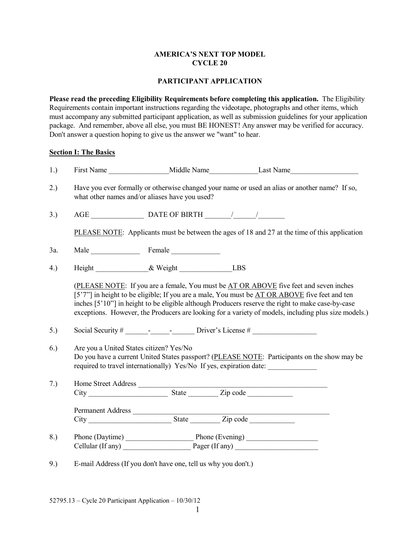## **AMERICA'S NEXT TOP MODEL CYCLE 20**

## **PARTICIPANT APPLICATION**

**Please read the preceding Eligibility Requirements before completing this application.** The Eligibility Requirements contain important instructions regarding the videotape, photographs and other items, which must accompany any submitted participant application, as well as submission guidelines for your application package. And remember, above all else, you must BE HONEST! Any answer may be verified for accuracy. Don't answer a question hoping to give us the answer we "want" to hear.

# **Section I: The Basics**

| 1.) |                                                                                                                                                                                                                            |                                                      | First Name Middle Name Last Name                                                                                                                                                                                                                                                                                                                                                                    |  |
|-----|----------------------------------------------------------------------------------------------------------------------------------------------------------------------------------------------------------------------------|------------------------------------------------------|-----------------------------------------------------------------------------------------------------------------------------------------------------------------------------------------------------------------------------------------------------------------------------------------------------------------------------------------------------------------------------------------------------|--|
| 2.) | Have you ever formally or otherwise changed your name or used an alias or another name? If so,<br>what other names and/or aliases have you used?                                                                           |                                                      |                                                                                                                                                                                                                                                                                                                                                                                                     |  |
| 3.) |                                                                                                                                                                                                                            |                                                      |                                                                                                                                                                                                                                                                                                                                                                                                     |  |
|     |                                                                                                                                                                                                                            |                                                      | PLEASE NOTE: Applicants must be between the ages of 18 and 27 at the time of this application                                                                                                                                                                                                                                                                                                       |  |
| 3a. |                                                                                                                                                                                                                            | Male Female                                          |                                                                                                                                                                                                                                                                                                                                                                                                     |  |
| 4.) |                                                                                                                                                                                                                            | Height ________________& Weight _________________LBS |                                                                                                                                                                                                                                                                                                                                                                                                     |  |
| 5.) |                                                                                                                                                                                                                            |                                                      | (PLEASE NOTE: If you are a female, You must be AT OR ABOVE five feet and seven inches<br>[5'7"] in height to be eligible; If you are a male, You must be AT OR ABOVE five feet and ten<br>inches [5'10"] in height to be eligible although Producers reserve the right to make case-by-case<br>exceptions. However, the Producers are looking for a variety of models, including plus size models.) |  |
| 6.) | Are you a United States citizen? Yes/No<br>Do you have a current United States passport? (PLEASE NOTE: Participants on the show may be<br>required to travel internationally) Yes/No If yes, expiration date: ____________ |                                                      |                                                                                                                                                                                                                                                                                                                                                                                                     |  |
| 7.) |                                                                                                                                                                                                                            |                                                      |                                                                                                                                                                                                                                                                                                                                                                                                     |  |
|     |                                                                                                                                                                                                                            |                                                      |                                                                                                                                                                                                                                                                                                                                                                                                     |  |
| 8.) |                                                                                                                                                                                                                            |                                                      |                                                                                                                                                                                                                                                                                                                                                                                                     |  |
| 9.) | E-mail Address (If you don't have one, tell us why you don't.)                                                                                                                                                             |                                                      |                                                                                                                                                                                                                                                                                                                                                                                                     |  |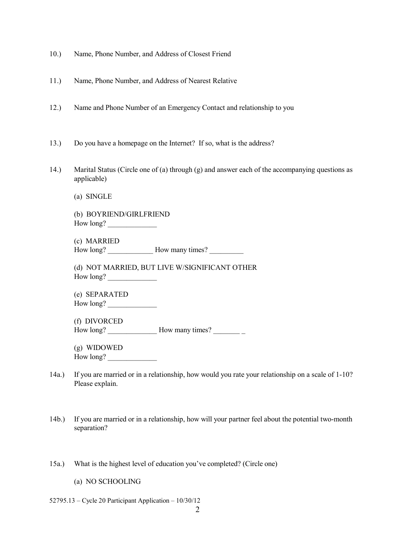- 10.) Name, Phone Number, and Address of Closest Friend
- 11.) Name, Phone Number, and Address of Nearest Relative
- 12.) Name and Phone Number of an Emergency Contact and relationship to you
- 13.) Do you have a homepage on the Internet? If so, what is the address?
- 14.) Marital Status (Circle one of (a) through (g) and answer each of the accompanying questions as applicable)
	- (a) SINGLE

(b) BOYRIEND/GIRLFRIEND How long?

(c) MARRIED How long? \_\_\_\_\_\_\_\_\_\_\_\_ How many times? \_\_\_\_\_\_\_\_\_

(d) NOT MARRIED, BUT LIVE W/SIGNIFICANT OTHER How long? \_\_\_\_\_\_\_\_\_\_\_\_\_

(e) SEPARATED How long?

(f) DIVORCED How long? How many times?

(g) WIDOWED How long?

- 14a.) If you are married or in a relationship, how would you rate your relationship on a scale of 1-10? Please explain.
- 14b.) If you are married or in a relationship, how will your partner feel about the potential two-month separation?
- 15a.) What is the highest level of education you've completed? (Circle one)

(a) NO SCHOOLING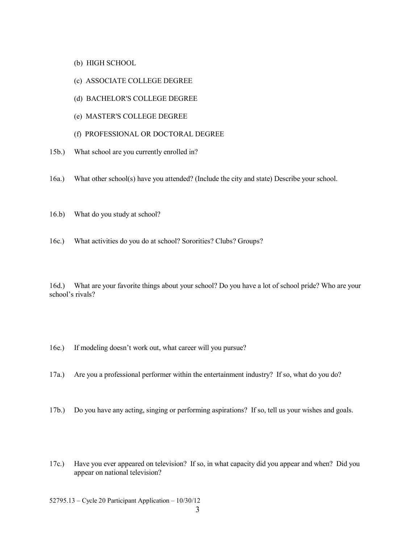- (b) HIGH SCHOOL
- (c) ASSOCIATE COLLEGE DEGREE
- (d) BACHELOR'S COLLEGE DEGREE
- (e) MASTER'S COLLEGE DEGREE
- (f) PROFESSIONAL OR DOCTORAL DEGREE
- 15b.) What school are you currently enrolled in?
- 16a.) What other school(s) have you attended? (Include the city and state) Describe your school.
- 16.b) What do you study at school?
- 16c.) What activities do you do at school? Sororities? Clubs? Groups?

16d.) What are your favorite things about your school? Do you have a lot of school pride? Who are your school's rivals?

- 16e.) If modeling doesn't work out, what career will you pursue?
- 17a.) Are you a professional performer within the entertainment industry? If so, what do you do?
- 17b.) Do you have any acting, singing or performing aspirations? If so, tell us your wishes and goals.
- 17c.) Have you ever appeared on television? If so, in what capacity did you appear and when? Did you appear on national television?
- 52795.13 Cycle 20 Participant Application 10/30/12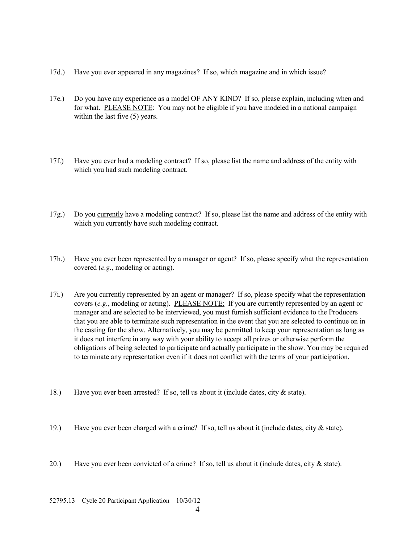- 17d.) Have you ever appeared in any magazines? If so, which magazine and in which issue?
- 17e.) Do you have any experience as a model OF ANY KIND? If so, please explain, including when and for what. PLEASE NOTE: You may not be eligible if you have modeled in a national campaign within the last five  $(5)$  years.
- 17f.) Have you ever had a modeling contract? If so, please list the name and address of the entity with which you had such modeling contract.
- 17g.) Do you currently have a modeling contract? If so, please list the name and address of the entity with which you currently have such modeling contract.
- 17h.) Have you ever been represented by a manager or agent? If so, please specify what the representation covered (*e.g.*, modeling or acting).
- 17i.) Are you currently represented by an agent or manager? If so, please specify what the representation covers (*e.g.*, modeling or acting). PLEASE NOTE: If you are currently represented by an agent or manager and are selected to be interviewed, you must furnish sufficient evidence to the Producers that you are able to terminate such representation in the event that you are selected to continue on in the casting for the show. Alternatively, you may be permitted to keep your representation as long as it does not interfere in any way with your ability to accept all prizes or otherwise perform the obligations of being selected to participate and actually participate in the show. You may be required to terminate any representation even if it does not conflict with the terms of your participation.
- 18.) Have you ever been arrested? If so, tell us about it (include dates, city & state).
- 19.) Have you ever been charged with a crime? If so, tell us about it (include dates, city  $\&$  state).
- 20.) Have you ever been convicted of a crime? If so, tell us about it (include dates, city  $\&$  state).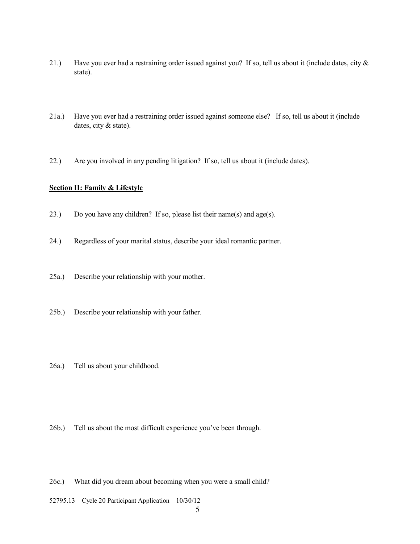- 21.) Have you ever had a restraining order issued against you? If so, tell us about it (include dates, city & state).
- 21a.) Have you ever had a restraining order issued against someone else? If so, tell us about it (include dates, city & state).
- 22.) Are you involved in any pending litigation? If so, tell us about it (include dates).

#### **Section II: Family & Lifestyle**

- 23.) Do you have any children? If so, please list their name(s) and age(s).
- 24.) Regardless of your marital status, describe your ideal romantic partner.
- 25a.) Describe your relationship with your mother.
- 25b.) Describe your relationship with your father.
- 26a.) Tell us about your childhood.
- 26b.) Tell us about the most difficult experience you've been through.
- 26c.) What did you dream about becoming when you were a small child?
- 52795.13 Cycle 20 Participant Application 10/30/12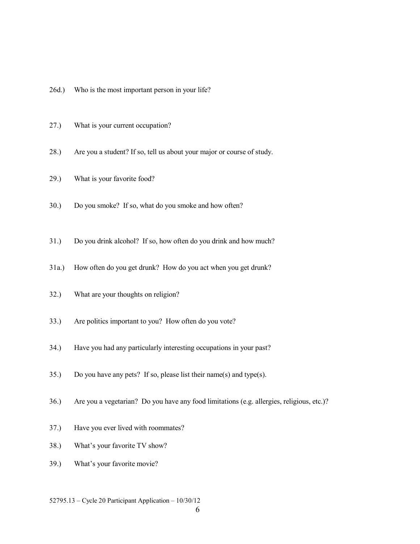- 26d.) Who is the most important person in your life?
- 27.) What is your current occupation?
- 28.) Are you a student? If so, tell us about your major or course of study.
- 29.) What is your favorite food?
- 30.) Do you smoke? If so, what do you smoke and how often?
- 31.) Do you drink alcohol? If so, how often do you drink and how much?
- 31a.) How often do you get drunk? How do you act when you get drunk?
- 32.) What are your thoughts on religion?
- 33.) Are politics important to you? How often do you vote?
- 34.) Have you had any particularly interesting occupations in your past?
- 35.) Do you have any pets? If so, please list their name(s) and type(s).
- 36.) Are you a vegetarian? Do you have any food limitations (e.g. allergies, religious, etc.)?
- 37.) Have you ever lived with roommates?
- 38.) What's your favorite TV show?
- 39.) What's your favorite movie?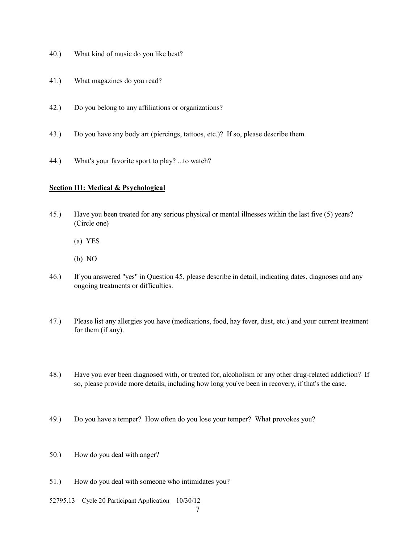- 40.) What kind of music do you like best?
- 41.) What magazines do you read?
- 42.) Do you belong to any affiliations or organizations?
- 43.) Do you have any body art (piercings, tattoos, etc.)? If so, please describe them.
- 44.) What's your favorite sport to play? ...to watch?

#### **Section III: Medical & Psychological**

- 45.) Have you been treated for any serious physical or mental illnesses within the last five (5) years? (Circle one)
	- (a) YES
	- (b) NO
- 46.) If you answered "yes" in Question 45, please describe in detail, indicating dates, diagnoses and any ongoing treatments or difficulties.
- 47.) Please list any allergies you have (medications, food, hay fever, dust, etc.) and your current treatment for them (if any).
- 48.) Have you ever been diagnosed with, or treated for, alcoholism or any other drug-related addiction? If so, please provide more details, including how long you've been in recovery, if that's the case.
- 49.) Do you have a temper? How often do you lose your temper? What provokes you?
- 50.) How do you deal with anger?
- 51.) How do you deal with someone who intimidates you?
- 52795.13 Cycle 20 Participant Application 10/30/12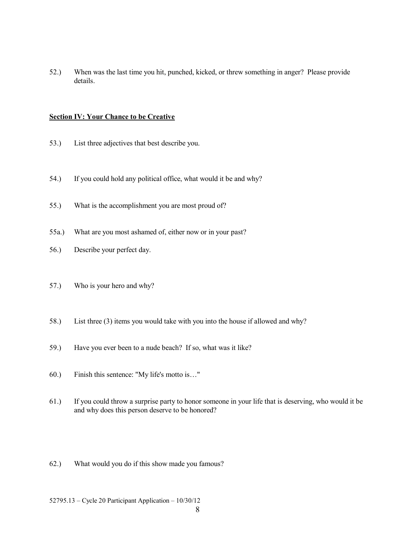52.) When was the last time you hit, punched, kicked, or threw something in anger? Please provide details.

#### **Section IV: Your Chance to be Creative**

- 53.) List three adjectives that best describe you.
- 54.) If you could hold any political office, what would it be and why?
- 55.) What is the accomplishment you are most proud of?
- 55a.) What are you most ashamed of, either now or in your past?
- 56.) Describe your perfect day.
- 57.) Who is your hero and why?
- 58.) List three (3) items you would take with you into the house if allowed and why?
- 59.) Have you ever been to a nude beach? If so, what was it like?
- 60.) Finish this sentence: "My life's motto is…"
- 61.) If you could throw a surprise party to honor someone in your life that is deserving, who would it be and why does this person deserve to be honored?
- 62.) What would you do if this show made you famous?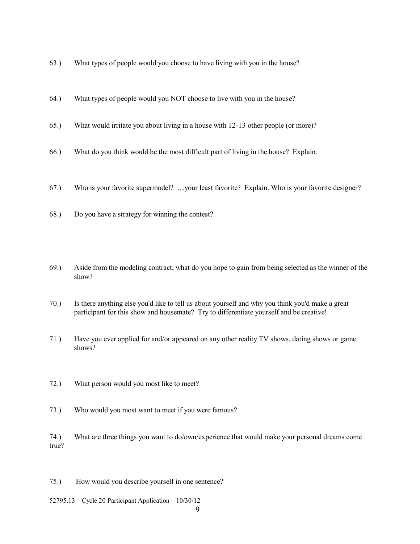- 63.) What types of people would you choose to have living with you in the house?
- 64.) What types of people would you NOT choose to live with you in the house?
- 65.) What would irritate you about living in a house with 12-13 other people (or more)?
- 66.) What do you think would be the most difficult part of living in the house? Explain.
- 67.) Who is your favorite supermodel? …your least favorite? Explain. Who is your favorite designer?
- 68.) Do you have a strategy for winning the contest?
- 69.) Aside from the modeling contract, what do you hope to gain from being selected as the winner of the show?
- 70.) Is there anything else you'd like to tell us about yourself and why you think you'd make a great participant for this show and housemate? Try to differentiate yourself and be creative!
- 71.) Have you ever applied for and/or appeared on any other reality TV shows, dating shows or game shows?
- 72.) What person would you most like to meet?
- 73.) Who would you most want to meet if you were famous?
- 74.) What are three things you want to do/own/experience that would make your personal dreams come true?
- 75.) How would you describe yourself in one sentence?
- 52795.13 Cycle 20 Participant Application 10/30/12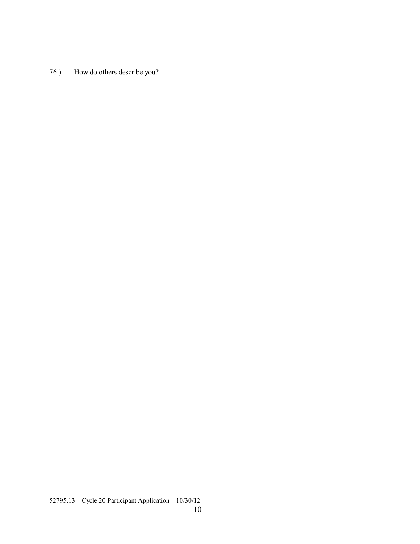76.) How do others describe you?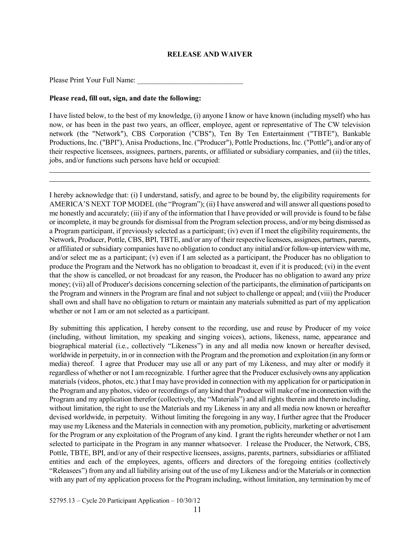### **RELEASE AND WAIVER**

Please Print Your Full Name:

### **Please read, fill out, sign, and date the following:**

I have listed below, to the best of my knowledge, (i) anyone I know or have known (including myself) who has now, or has been in the past two years, an officer, employee, agent or representative of The CW television network (the "Network"), CBS Corporation ("CBS"), Ten By Ten Entertainment ("TBTE"), Bankable Productions, Inc. ("BPI"), Anisa Productions, Inc. ("Producer"), Pottle Productions, Inc. ("Pottle"), and/or any of their respective licensees, assignees, partners, parents, or affiliated or subsidiary companies, and (ii) the titles, jobs, and/or functions such persons have held or occupied:

I hereby acknowledge that: (i) I understand, satisfy, and agree to be bound by, the eligibility requirements for AMERICA'S NEXT TOP MODEL (the "Program"); (ii) I have answered and will answer all questions posed to me honestly and accurately; (iii) if any of the information that I have provided or will provide is found to be false or incomplete, it may be grounds for dismissal from the Program selection process, and/or my being dismissed as a Program participant, if previously selected as a participant; (iv) even if I meet the eligibility requirements, the Network, Producer, Pottle, CBS, BPI, TBTE, and/or any of their respective licensees, assignees, partners, parents, or affiliated or subsidiary companies have no obligation to conduct any initial and/or follow-up interview with me, and/or select me as a participant; (v) even if I am selected as a participant, the Producer has no obligation to produce the Program and the Network has no obligation to broadcast it, even if it is produced; (vi) in the event that the show is cancelled, or not broadcast for any reason, the Producer has no obligation to award any prize money; (vii) all of Producer's decisions concerning selection of the participants, the elimination of participants on the Program and winners in the Program are final and not subject to challenge or appeal; and (viii) the Producer shall own and shall have no obligation to return or maintain any materials submitted as part of my application whether or not I am or am not selected as a participant.

By submitting this application, I hereby consent to the recording, use and reuse by Producer of my voice (including, without limitation, my speaking and singing voices), actions, likeness, name, appearance and biographical material (i.e., collectively "Likeness") in any and all media now known or hereafter devised, worldwide in perpetuity, in or in connection with the Program and the promotion and exploitation (in any form or media) thereof. I agree that Producer may use all or any part of my Likeness, and may alter or modify it regardless of whether or not I am recognizable. I further agree that the Producer exclusively owns any application materials (videos, photos, etc.) that I may have provided in connection with my application for or participation in the Program and any photos, video or recordings of any kind that Producer will make of me in connection with the Program and my application therefor (collectively, the "Materials") and all rights therein and thereto including, without limitation, the right to use the Materials and my Likeness in any and all media now known or hereafter devised worldwide, in perpetuity. Without limiting the foregoing in any way, I further agree that the Producer may use my Likeness and the Materials in connection with any promotion, publicity, marketing or advertisement for the Program or any exploitation of the Program of any kind. I grant the rights hereunder whether or not I am selected to participate in the Program in any manner whatsoever. I release the Producer, the Network, CBS, Pottle, TBTE, BPI, and/or any of their respective licensees, assigns, parents, partners, subsidiaries or affiliated entities and each of the employees, agents, officers and directors of the foregoing entities (collectively "Releasees") from any and all liability arising out of the use of my Likeness and/or the Materials or in connection with any part of my application process for the Program including, without limitation, any termination by me of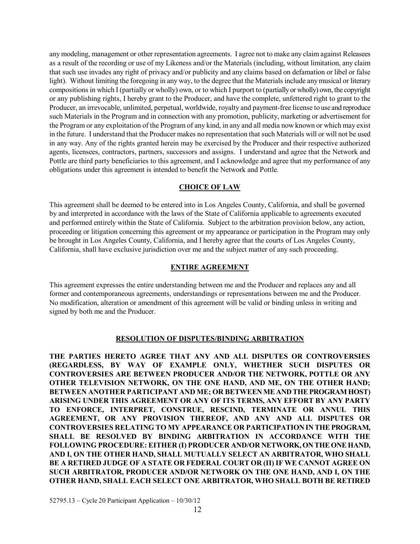any modeling, management or other representation agreements. I agree not to make any claim against Releasees as a result of the recording or use of my Likeness and/or the Materials (including, without limitation, any claim that such use invades any right of privacy and/or publicity and any claims based on defamation or libel or false light). Without limiting the foregoing in any way, to the degree that the Materials include any musical or literary compositions in which I (partially or wholly) own, or to which I purport to (partially or wholly) own, the copyright or any publishing rights, I hereby grant to the Producer, and have the complete, unfettered right to grant to the Producer, an irrevocable, unlimited, perpetual, worldwide, royalty and payment-free license to use and reproduce such Materials in the Program and in connection with any promotion, publicity, marketing or advertisement for the Program or any exploitation of the Program of any kind, in any and all media now known or which may exist in the future. I understand that the Producer makes no representation that such Materials will or will not be used in any way. Any of the rights granted herein may be exercised by the Producer and their respective authorized agents, licensees, contractors, partners, successors and assigns. I understand and agree that the Network and Pottle are third party beneficiaries to this agreement, and I acknowledge and agree that my performance of any obligations under this agreement is intended to benefit the Network and Pottle.

# **CHOICE OF LAW**

This agreement shall be deemed to be entered into in Los Angeles County, California, and shall be governed by and interpreted in accordance with the laws of the State of California applicable to agreements executed and performed entirely within the State of California. Subject to the arbitration provision below, any action, proceeding or litigation concerning this agreement or my appearance or participation in the Program may only be brought in Los Angeles County, California, and I hereby agree that the courts of Los Angeles County, California, shall have exclusive jurisdiction over me and the subject matter of any such proceeding.

## **ENTIRE AGREEMENT**

This agreement expresses the entire understanding between me and the Producer and replaces any and all former and contemporaneous agreements, understandings or representations between me and the Producer. No modification, alteration or amendment of this agreement will be valid or binding unless in writing and signed by both me and the Producer.

## **RESOLUTION OF DISPUTES/BINDING ARBITRATION**

**THE PARTIES HERETO AGREE THAT ANY AND ALL DISPUTES OR CONTROVERSIES (REGARDLESS, BY WAY OF EXAMPLE ONLY, WHETHER SUCH DISPUTES OR CONTROVERSIES ARE BETWEEN PRODUCER AND/OR THE NETWORK, POTTLE OR ANY OTHER TELEVISION NETWORK, ON THE ONE HAND, AND ME, ON THE OTHER HAND; BETWEEN ANOTHER PARTICIPANT AND ME; OR BETWEEN ME AND THE PROGRAM HOST) ARISING UNDER THIS AGREEMENT OR ANY OF ITS TERMS, ANY EFFORT BY ANY PARTY TO ENFORCE, INTERPRET, CONSTRUE, RESCIND, TERMINATE OR ANNUL THIS AGREEMENT, OR ANY PROVISION THEREOF, AND ANY AND ALL DISPUTES OR CONTROVERSIES RELATING TO MY APPEARANCE OR PARTICIPATION IN THE PROGRAM, SHALL BE RESOLVED BY BINDING ARBITRATION IN ACCORDANCE WITH THE FOLLOWING PROCEDURE: EITHER (I) PRODUCER AND/OR NETWORK, ON THE ONE HAND, AND I, ON THE OTHER HAND, SHALL MUTUALLY SELECT AN ARBITRATOR, WHO SHALL BE A RETIRED JUDGE OF A STATE OR FEDERAL COURT OR (II) IF WE CANNOT AGREE ON SUCH ARBITRATOR, PRODUCER AND/OR NETWORK ON THE ONE HAND, AND I, ON THE OTHER HAND, SHALL EACH SELECT ONE ARBITRATOR, WHO SHALL BOTH BE RETIRED**